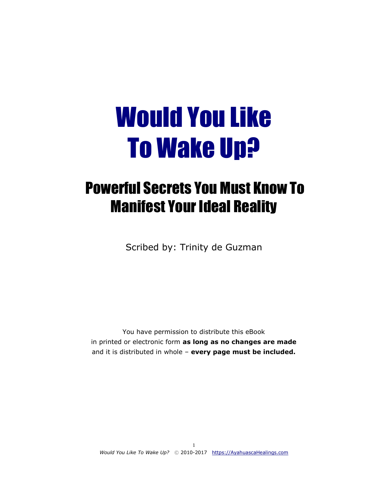# Would You Like To Wake Up?

# Powerful Secrets You Must Know To Manifest Your Ideal Reality

Scribed by: Trinity de Guzman

You have permission to distribute this eBook in printed or electronic form **as long as no changes are made**  and it is distributed in whole – **every page must be included.**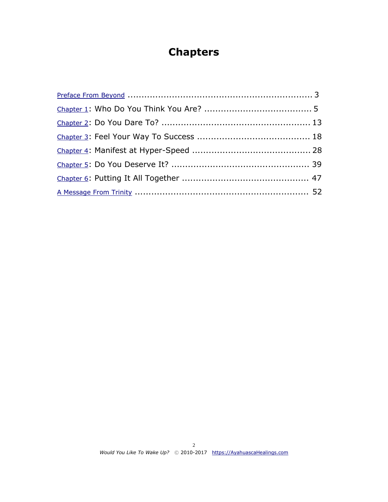## **Chapters**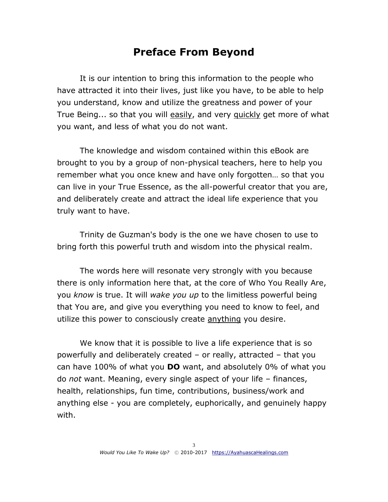## **Preface From Beyond**

<span id="page-2-0"></span>It is our intention to bring this information to the people who have attracted it into their lives, just like you have, to be able to help you understand, know and utilize the greatness and power of your True Being... so that you will easily, and very quickly get more of what you want, and less of what you do not want.

The knowledge and wisdom contained within this eBook are brought to you by a group of non-physical teachers, here to help you remember what you once knew and have only forgotten… so that you can live in your True Essence, as the all-powerful creator that you are, and deliberately create and attract the ideal life experience that you truly want to have.

Trinity de Guzman's body is the one we have chosen to use to bring forth this powerful truth and wisdom into the physical realm.

The words here will resonate very strongly with you because there is only information here that, at the core of Who You Really Are, you *know* is true. It will *wake you up* to the limitless powerful being that You are, and give you everything you need to know to feel, and utilize this power to consciously create anything you desire.

We know that it is possible to live a life experience that is so powerfully and deliberately created – or really, attracted – that you can have 100% of what you **DO** want, and absolutely 0% of what you do *not* want. Meaning, every single aspect of your life – finances, health, relationships, fun time, contributions, business/work and anything else - you are completely, euphorically, and genuinely happy with.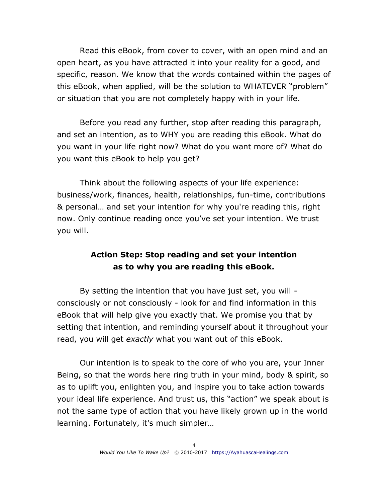Read this eBook, from cover to cover, with an open mind and an open heart, as you have attracted it into your reality for a good, and specific, reason. We know that the words contained within the pages of this eBook, when applied, will be the solution to WHATEVER "problem" or situation that you are not completely happy with in your life.

Before you read any further, stop after reading this paragraph, and set an intention, as to WHY you are reading this eBook. What do you want in your life right now? What do you want more of? What do you want this eBook to help you get?

Think about the following aspects of your life experience: business/work, finances, health, relationships, fun-time, contributions & personal… and set your intention for why you're reading this, right now. Only continue reading once you've set your intention. We trust you will.

## **Action Step: Stop reading and set your intention as to why you are reading this eBook.**

By setting the intention that you have just set, you will consciously or not consciously - look for and find information in this eBook that will help give you exactly that. We promise you that by setting that intention, and reminding yourself about it throughout your read, you will get *exactly* what you want out of this eBook.

Our intention is to speak to the core of who you are, your Inner Being, so that the words here ring truth in your mind, body & spirit, so as to uplift you, enlighten you, and inspire you to take action towards your ideal life experience. And trust us, this "action" we speak about is not the same type of action that you have likely grown up in the world learning. Fortunately, it's much simpler…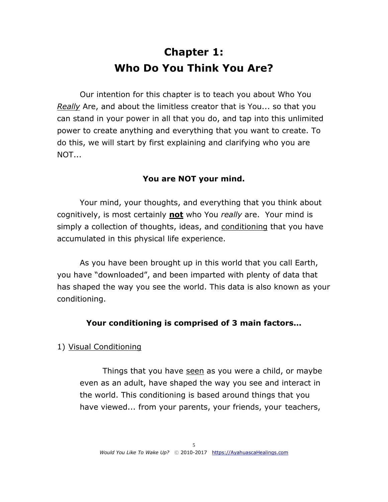# **Chapter 1: Who Do You Think You Are?**

<span id="page-4-0"></span>Our intention for this chapter is to teach you about Who You *Really* Are, and about the limitless creator that is You... so that you can stand in your power in all that you do, and tap into this unlimited power to create anything and everything that you want to create. To do this, we will start by first explaining and clarifying who you are NOT...

## **You are NOT your mind.**

Your mind, your thoughts, and everything that you think about cognitively, is most certainly **not** who You *really* are. Your mind is simply a collection of thoughts, ideas, and conditioning that you have accumulated in this physical life experience.

As you have been brought up in this world that you call Earth, you have "downloaded", and been imparted with plenty of data that has shaped the way you see the world. This data is also known as your conditioning.

#### **Your conditioning is comprised of 3 main factors…**

#### 1) Visual Conditioning

Things that you have seen as you were a child, or maybe even as an adult, have shaped the way you see and interact in the world. This conditioning is based around things that you have viewed... from your parents, your friends, your teachers,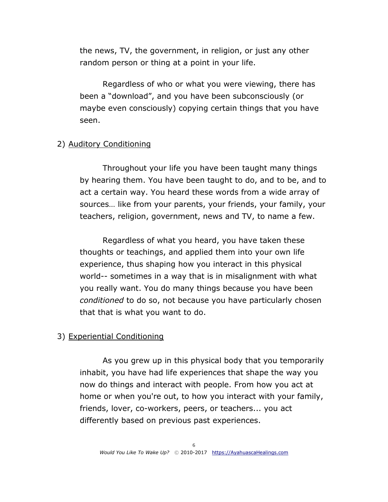the news, TV, the government, in religion, or just any other random person or thing at a point in your life.

Regardless of who or what you were viewing, there has been a "download", and you have been subconsciously (or maybe even consciously) copying certain things that you have seen.

#### 2) Auditory Conditioning

Throughout your life you have been taught many things by hearing them. You have been taught to do, and to be, and to act a certain way. You heard these words from a wide array of sources… like from your parents, your friends, your family, your teachers, religion, government, news and TV, to name a few.

Regardless of what you heard, you have taken these thoughts or teachings, and applied them into your own life experience, thus shaping how you interact in this physical world-- sometimes in a way that is in misalignment with what you really want. You do many things because you have been *conditioned* to do so, not because you have particularly chosen that that is what you want to do.

#### 3) Experiential Conditioning

As you grew up in this physical body that you temporarily inhabit, you have had life experiences that shape the way you now do things and interact with people. From how you act at home or when you're out, to how you interact with your family, friends, lover, co-workers, peers, or teachers... you act differently based on previous past experiences.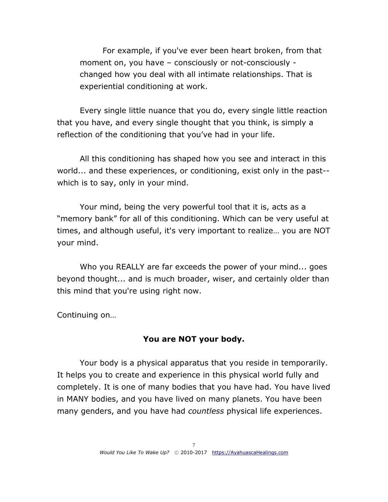For example, if you've ever been heart broken, from that moment on, you have – consciously or not-consciously changed how you deal with all intimate relationships. That is experiential conditioning at work.

Every single little nuance that you do, every single little reaction that you have, and every single thought that you think, is simply a reflection of the conditioning that you've had in your life.

All this conditioning has shaped how you see and interact in this world... and these experiences, or conditioning, exist only in the past- which is to say, only in your mind.

Your mind, being the very powerful tool that it is, acts as a "memory bank" for all of this conditioning. Which can be very useful at times, and although useful, it's very important to realize… you are NOT your mind.

Who you REALLY are far exceeds the power of your mind... goes beyond thought... and is much broader, wiser, and certainly older than this mind that you're using right now.

Continuing on…

## **You are NOT your body.**

Your body is a physical apparatus that you reside in temporarily. It helps you to create and experience in this physical world fully and completely. It is one of many bodies that you have had. You have lived in MANY bodies, and you have lived on many planets. You have been many genders, and you have had *countless* physical life experiences.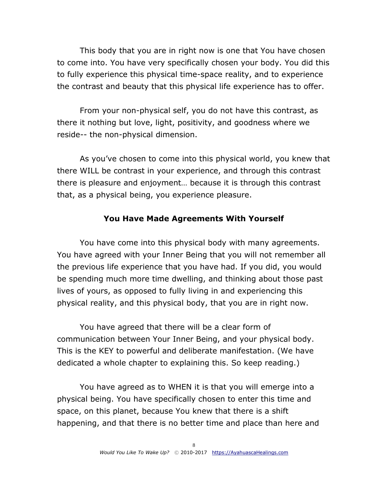This body that you are in right now is one that You have chosen to come into. You have very specifically chosen your body. You did this to fully experience this physical time-space reality, and to experience the contrast and beauty that this physical life experience has to offer.

From your non-physical self, you do not have this contrast, as there it nothing but love, light, positivity, and goodness where we reside-- the non-physical dimension.

As you've chosen to come into this physical world, you knew that there WILL be contrast in your experience, and through this contrast there is pleasure and enjoyment… because it is through this contrast that, as a physical being, you experience pleasure.

#### **You Have Made Agreements With Yourself**

You have come into this physical body with many agreements. You have agreed with your Inner Being that you will not remember all the previous life experience that you have had. If you did, you would be spending much more time dwelling, and thinking about those past lives of yours, as opposed to fully living in and experiencing this physical reality, and this physical body, that you are in right now.

You have agreed that there will be a clear form of communication between Your Inner Being, and your physical body. This is the KEY to powerful and deliberate manifestation. (We have dedicated a whole chapter to explaining this. So keep reading.)

You have agreed as to WHEN it is that you will emerge into a physical being. You have specifically chosen to enter this time and space, on this planet, because You knew that there is a shift happening, and that there is no better time and place than here and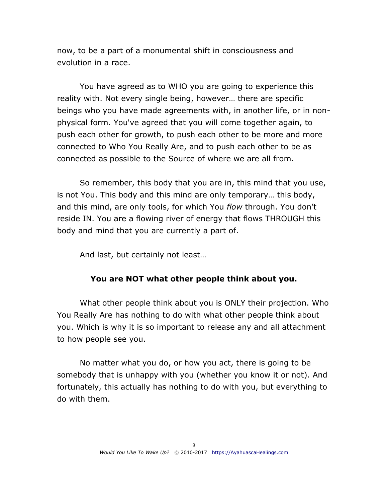now, to be a part of a monumental shift in consciousness and evolution in a race.

You have agreed as to WHO you are going to experience this reality with. Not every single being, however… there are specific beings who you have made agreements with, in another life, or in nonphysical form. You've agreed that you will come together again, to push each other for growth, to push each other to be more and more connected to Who You Really Are, and to push each other to be as connected as possible to the Source of where we are all from.

So remember, this body that you are in, this mind that you use, is not You. This body and this mind are only temporary… this body, and this mind, are only tools, for which You *flow* through. You don't reside IN. You are a flowing river of energy that flows THROUGH this body and mind that you are currently a part of.

And last, but certainly not least…

## **You are NOT what other people think about you.**

What other people think about you is ONLY their projection. Who You Really Are has nothing to do with what other people think about you. Which is why it is so important to release any and all attachment to how people see you.

No matter what you do, or how you act, there is going to be somebody that is unhappy with you (whether you know it or not). And fortunately, this actually has nothing to do with you, but everything to do with them.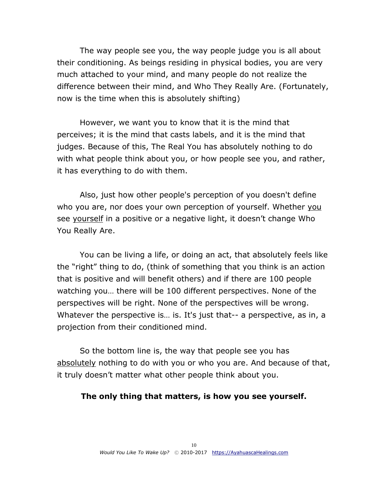The way people see you, the way people judge you is all about their conditioning. As beings residing in physical bodies, you are very much attached to your mind, and many people do not realize the difference between their mind, and Who They Really Are. (Fortunately, now is the time when this is absolutely shifting)

However, we want you to know that it is the mind that perceives; it is the mind that casts labels, and it is the mind that judges. Because of this, The Real You has absolutely nothing to do with what people think about you, or how people see you, and rather, it has everything to do with them.

Also, just how other people's perception of you doesn't define who you are, nor does your own perception of yourself. Whether you see yourself in a positive or a negative light, it doesn't change Who You Really Are.

You can be living a life, or doing an act, that absolutely feels like the "right" thing to do, (think of something that you think is an action that is positive and will benefit others) and if there are 100 people watching you… there will be 100 different perspectives. None of the perspectives will be right. None of the perspectives will be wrong. Whatever the perspective is... is. It's just that-- a perspective, as in, a projection from their conditioned mind.

So the bottom line is, the way that people see you has absolutely nothing to do with you or who you are. And because of that, it truly doesn't matter what other people think about you.

#### **The only thing that matters, is how you see yourself.**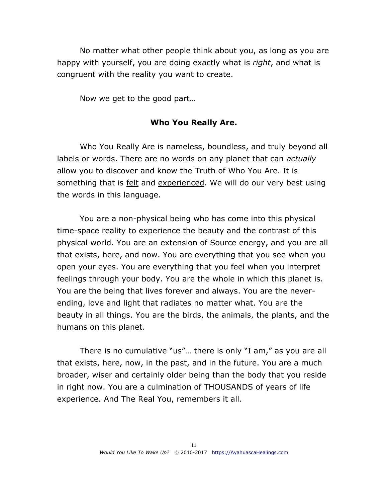No matter what other people think about you, as long as you are happy with yourself, you are doing exactly what is *right*, and what is congruent with the reality you want to create.

Now we get to the good part…

#### **Who You Really Are.**

Who You Really Are is nameless, boundless, and truly beyond all labels or words. There are no words on any planet that can *actually* allow you to discover and know the Truth of Who You Are. It is something that is felt and experienced. We will do our very best using the words in this language.

You are a non-physical being who has come into this physical time-space reality to experience the beauty and the contrast of this physical world. You are an extension of Source energy, and you are all that exists, here, and now. You are everything that you see when you open your eyes. You are everything that you feel when you interpret feelings through your body. You are the whole in which this planet is. You are the being that lives forever and always. You are the neverending, love and light that radiates no matter what. You are the beauty in all things. You are the birds, the animals, the plants, and the humans on this planet.

There is no cumulative "us"… there is only "I am," as you are all that exists, here, now, in the past, and in the future. You are a much broader, wiser and certainly older being than the body that you reside in right now. You are a culmination of THOUSANDS of years of life experience. And The Real You, remembers it all.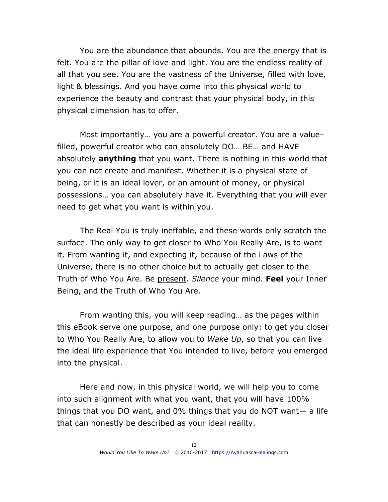You are the abundance that abounds. You are the energy that is felt. You are the pillar of love and light. You are the endless reality of all that you see. You are the vastness of the Universe, filled with love, light & blessings. And you have come into this physical world to experience the beauty and contrast that your physical body, in this physical dimension has to offer.

Most importantly… you are a powerful creator. You are a valuefilled, powerful creator who can absolutely DO… BE… and HAVE absolutely **anything** that you want. There is nothing in this world that you can not create and manifest. Whether it is a physical state of being, or it is an ideal lover, or an amount of money, or physical possessions… you can absolutely have it. Everything that you will ever need to get what you want is within you.

The Real You is truly ineffable, and these words only scratch the surface. The only way to get closer to Who You Really Are, is to want it. From wanting it, and expecting it, because of the Laws of the Universe, there is no other choice but to actually get closer to the Truth of Who You Are. Be present. *Silence* your mind. **Feel** your Inner Being, and the Truth of Who You Are.

From wanting this, you will keep reading… as the pages within this eBook serve one purpose, and one purpose only: to get you closer to Who You Really Are, to allow you to *Wake Up*, so that you can live the ideal life experience that You intended to live, before you emerged into the physical.

Here and now, in this physical world, we will help you to come into such alignment with what you want, that you will have 100% things that you DO want, and 0% things that you do NOT want— a life that can honestly be described as your ideal reality.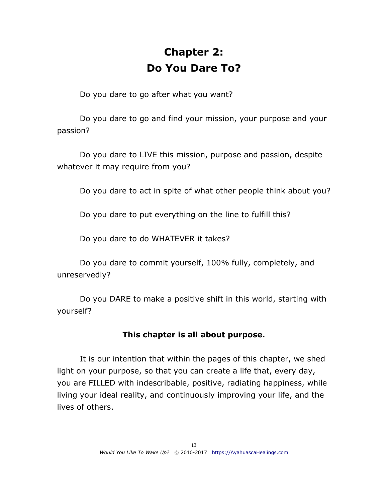# **Chapter 2: Do You Dare To?**

<span id="page-12-0"></span>Do you dare to go after what you want?

Do you dare to go and find your mission, your purpose and your passion?

Do you dare to LIVE this mission, purpose and passion, despite whatever it may require from you?

Do you dare to act in spite of what other people think about you?

Do you dare to put everything on the line to fulfill this?

Do you dare to do WHATEVER it takes?

Do you dare to commit yourself, 100% fully, completely, and unreservedly?

Do you DARE to make a positive shift in this world, starting with yourself?

## **This chapter is all about purpose.**

It is our intention that within the pages of this chapter, we shed light on your purpose, so that you can create a life that, every day, you are FILLED with indescribable, positive, radiating happiness, while living your ideal reality, and continuously improving your life, and the lives of others.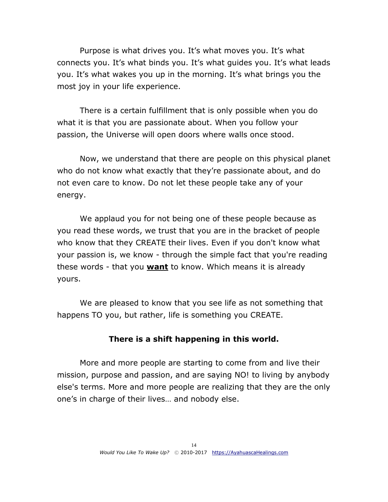Purpose is what drives you. It's what moves you. It's what connects you. It's what binds you. It's what guides you. It's what leads you. It's what wakes you up in the morning. It's what brings you the most joy in your life experience.

There is a certain fulfillment that is only possible when you do what it is that you are passionate about. When you follow your passion, the Universe will open doors where walls once stood.

Now, we understand that there are people on this physical planet who do not know what exactly that they're passionate about, and do not even care to know. Do not let these people take any of your energy.

We applaud you for not being one of these people because as you read these words, we trust that you are in the bracket of people who know that they CREATE their lives. Even if you don't know what your passion is, we know - through the simple fact that you're reading these words - that you **want** to know. Which means it is already yours.

We are pleased to know that you see life as not something that happens TO you, but rather, life is something you CREATE.

#### **There is a shift happening in this world.**

More and more people are starting to come from and live their mission, purpose and passion, and are saying NO! to living by anybody else's terms. More and more people are realizing that they are the only one's in charge of their lives… and nobody else.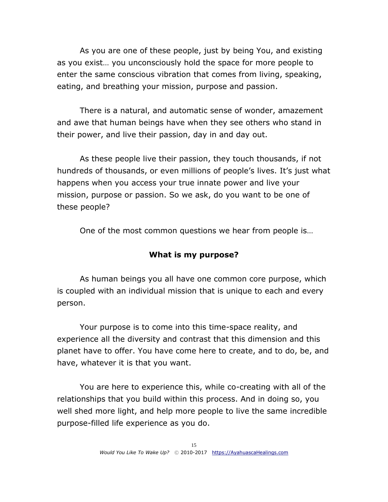As you are one of these people, just by being You, and existing as you exist… you unconsciously hold the space for more people to enter the same conscious vibration that comes from living, speaking, eating, and breathing your mission, purpose and passion.

There is a natural, and automatic sense of wonder, amazement and awe that human beings have when they see others who stand in their power, and live their passion, day in and day out.

As these people live their passion, they touch thousands, if not hundreds of thousands, or even millions of people's lives. It's just what happens when you access your true innate power and live your mission, purpose or passion. So we ask, do you want to be one of these people?

One of the most common questions we hear from people is…

## **What is my purpose?**

As human beings you all have one common core purpose, which is coupled with an individual mission that is unique to each and every person.

Your purpose is to come into this time-space reality, and experience all the diversity and contrast that this dimension and this planet have to offer. You have come here to create, and to do, be, and have, whatever it is that you want.

You are here to experience this, while co-creating with all of the relationships that you build within this process. And in doing so, you well shed more light, and help more people to live the same incredible purpose-filled life experience as you do.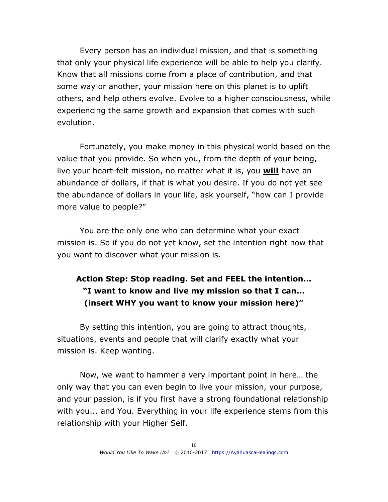Every person has an individual mission, and that is something that only your physical life experience will be able to help you clarify. Know that all missions come from a place of contribution, and that some way or another, your mission here on this planet is to uplift others, and help others evolve. Evolve to a higher consciousness, while experiencing the same growth and expansion that comes with such evolution.

Fortunately, you make money in this physical world based on the value that you provide. So when you, from the depth of your being, live your heart-felt mission, no matter what it is, you **will** have an abundance of dollars, if that is what you desire. If you do not yet see the abundance of dollars in your life, ask yourself, "how can I provide more value to people?"

You are the only one who can determine what your exact mission is. So if you do not yet know, set the intention right now that you want to discover what your mission is.

## **Action Step: Stop reading. Set and FEEL the intention... "I want to know and live my mission so that I can... (insert WHY you want to know your mission here)"**

By setting this intention, you are going to attract thoughts, situations, events and people that will clarify exactly what your mission is. Keep wanting.

Now, we want to hammer a very important point in here… the only way that you can even begin to live your mission, your purpose, and your passion, is if you first have a strong foundational relationship with you... and You. Everything in your life experience stems from this relationship with your Higher Self.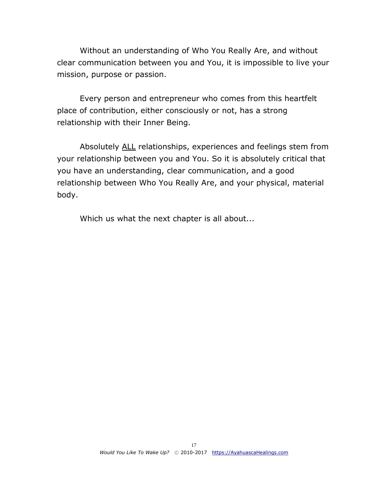Without an understanding of Who You Really Are, and without clear communication between you and You, it is impossible to live your mission, purpose or passion.

Every person and entrepreneur who comes from this heartfelt place of contribution, either consciously or not, has a strong relationship with their Inner Being.

Absolutely ALL relationships, experiences and feelings stem from your relationship between you and You. So it is absolutely critical that you have an understanding, clear communication, and a good relationship between Who You Really Are, and your physical, material body.

Which us what the next chapter is all about...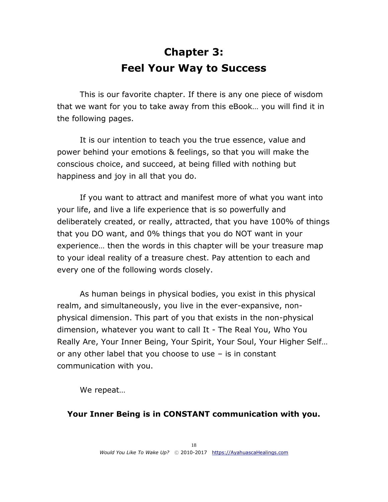# **Chapter 3: Feel Your Way to Success**

<span id="page-17-0"></span>This is our favorite chapter. If there is any one piece of wisdom that we want for you to take away from this eBook… you will find it in the following pages.

It is our intention to teach you the true essence, value and power behind your emotions & feelings, so that you will make the conscious choice, and succeed, at being filled with nothing but happiness and joy in all that you do.

If you want to attract and manifest more of what you want into your life, and live a life experience that is so powerfully and deliberately created, or really, attracted, that you have 100% of things that you DO want, and 0% things that you do NOT want in your experience… then the words in this chapter will be your treasure map to your ideal reality of a treasure chest. Pay attention to each and every one of the following words closely.

As human beings in physical bodies, you exist in this physical realm, and simultaneously, you live in the ever-expansive, nonphysical dimension. This part of you that exists in the non-physical dimension, whatever you want to call It - The Real You, Who You Really Are, Your Inner Being, Your Spirit, Your Soul, Your Higher Self… or any other label that you choose to use – is in constant communication with you.

We repeat…

#### **Your Inner Being is in CONSTANT communication with you.**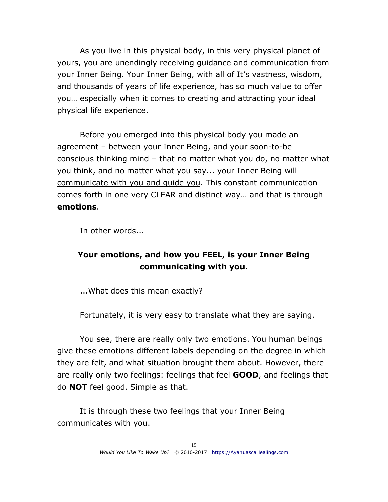As you live in this physical body, in this very physical planet of yours, you are unendingly receiving guidance and communication from your Inner Being. Your Inner Being, with all of It's vastness, wisdom, and thousands of years of life experience, has so much value to offer you… especially when it comes to creating and attracting your ideal physical life experience.

Before you emerged into this physical body you made an agreement – between your Inner Being, and your soon-to-be conscious thinking mind – that no matter what you do, no matter what you think, and no matter what you say... your Inner Being will communicate with you and guide you. This constant communication comes forth in one very CLEAR and distinct way… and that is through **emotions**.

In other words...

## **Your emotions, and how you FEEL, is your Inner Being communicating with you.**

...What does this mean exactly?

Fortunately, it is very easy to translate what they are saying.

You see, there are really only two emotions. You human beings give these emotions different labels depending on the degree in which they are felt, and what situation brought them about. However, there are really only two feelings: feelings that feel **GOOD**, and feelings that do **NOT** feel good. Simple as that.

It is through these two feelings that your Inner Being communicates with you.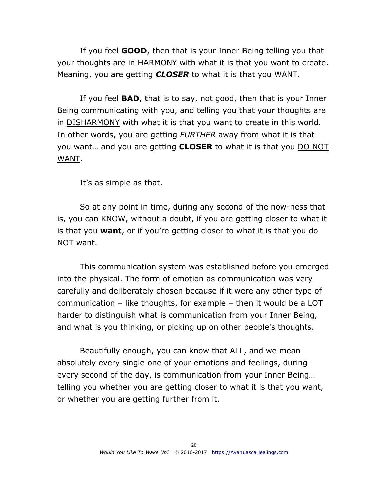If you feel **GOOD**, then that is your Inner Being telling you that your thoughts are in **HARMONY** with what it is that you want to create. Meaning, you are getting *CLOSER* to what it is that you WANT.

If you feel **BAD**, that is to say, not good, then that is your Inner Being communicating with you, and telling you that your thoughts are in DISHARMONY with what it is that you want to create in this world. In other words, you are getting *FURTHER* away from what it is that you want… and you are getting **CLOSER** to what it is that you DO NOT WANT.

It's as simple as that.

So at any point in time, during any second of the now-ness that is, you can KNOW, without a doubt, if you are getting closer to what it is that you **want**, or if you're getting closer to what it is that you do NOT want.

This communication system was established before you emerged into the physical. The form of emotion as communication was very carefully and deliberately chosen because if it were any other type of communication – like thoughts, for example – then it would be a LOT harder to distinguish what is communication from your Inner Being, and what is you thinking, or picking up on other people's thoughts.

Beautifully enough, you can know that ALL, and we mean absolutely every single one of your emotions and feelings, during every second of the day, is communication from your Inner Being… telling you whether you are getting closer to what it is that you want, or whether you are getting further from it.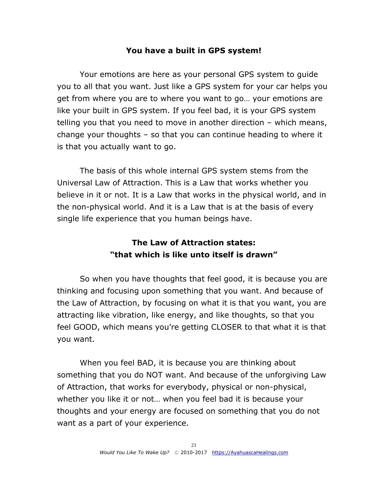## **You have a built in GPS system!**

Your emotions are here as your personal GPS system to guide you to all that you want. Just like a GPS system for your car helps you get from where you are to where you want to go… your emotions are like your built in GPS system. If you feel bad, it is your GPS system telling you that you need to move in another direction – which means, change your thoughts – so that you can continue heading to where it is that you actually want to go.

The basis of this whole internal GPS system stems from the Universal Law of Attraction. This is a Law that works whether you believe in it or not. It is a Law that works in the physical world, and in the non-physical world. And it is a Law that is at the basis of every single life experience that you human beings have.

## **The Law of Attraction states: "that which is like unto itself is drawn"**

So when you have thoughts that feel good, it is because you are thinking and focusing upon something that you want. And because of the Law of Attraction, by focusing on what it is that you want, you are attracting like vibration, like energy, and like thoughts, so that you feel GOOD, which means you're getting CLOSER to that what it is that you want.

When you feel BAD, it is because you are thinking about something that you do NOT want. And because of the unforgiving Law of Attraction, that works for everybody, physical or non-physical, whether you like it or not… when you feel bad it is because your thoughts and your energy are focused on something that you do not want as a part of your experience.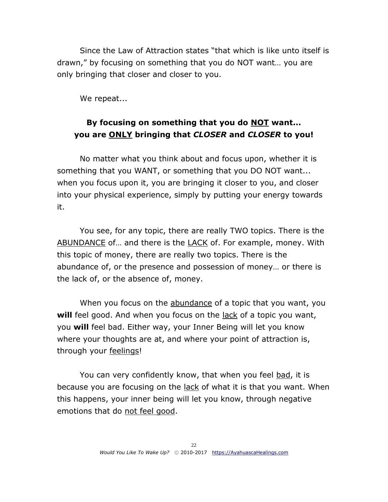Since the Law of Attraction states "that which is like unto itself is drawn," by focusing on something that you do NOT want… you are only bringing that closer and closer to you.

We repeat...

## **By focusing on something that you do NOT want... you are ONLY bringing that** *CLOSER* **and** *CLOSER* **to you!**

No matter what you think about and focus upon, whether it is something that you WANT, or something that you DO NOT want... when you focus upon it, you are bringing it closer to you, and closer into your physical experience, simply by putting your energy towards it.

You see, for any topic, there are really TWO topics. There is the ABUNDANCE of… and there is the LACK of. For example, money. With this topic of money, there are really two topics. There is the abundance of, or the presence and possession of money… or there is the lack of, or the absence of, money.

When you focus on the abundance of a topic that you want, you will feel good. And when you focus on the lack of a topic you want, you **will** feel bad. Either way, your Inner Being will let you know where your thoughts are at, and where your point of attraction is, through your feelings!

You can very confidently know, that when you feel bad, it is because you are focusing on the lack of what it is that you want. When this happens, your inner being will let you know, through negative emotions that do not feel good.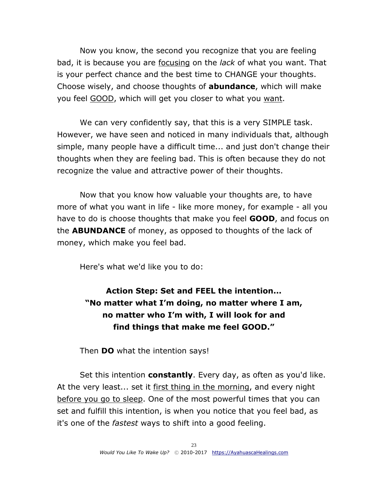Now you know, the second you recognize that you are feeling bad, it is because you are focusing on the *lack* of what you want. That is your perfect chance and the best time to CHANGE your thoughts. Choose wisely, and choose thoughts of **abundance**, which will make you feel GOOD, which will get you closer to what you want.

We can very confidently say, that this is a very SIMPLE task. However, we have seen and noticed in many individuals that, although simple, many people have a difficult time... and just don't change their thoughts when they are feeling bad. This is often because they do not recognize the value and attractive power of their thoughts.

Now that you know how valuable your thoughts are, to have more of what you want in life - like more money, for example - all you have to do is choose thoughts that make you feel **GOOD**, and focus on the **ABUNDANCE** of money, as opposed to thoughts of the lack of money, which make you feel bad.

Here's what we'd like you to do:

**Action Step: Set and FEEL the intention... "No matter what I'm doing, no matter where I am, no matter who I'm with, I will look for and find things that make me feel GOOD."**

Then **DO** what the intention says!

Set this intention **constantly**. Every day, as often as you'd like. At the very least... set it first thing in the morning, and every night before you go to sleep. One of the most powerful times that you can set and fulfill this intention, is when you notice that you feel bad, as it's one of the *fastest* ways to shift into a good feeling.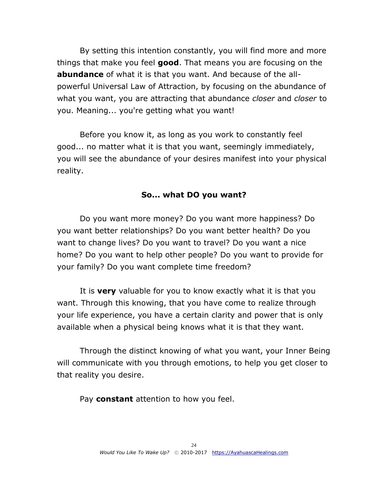By setting this intention constantly, you will find more and more things that make you feel **good**. That means you are focusing on the **abundance** of what it is that you want. And because of the allpowerful Universal Law of Attraction, by focusing on the abundance of what you want, you are attracting that abundance *closer* and *closer* to you. Meaning... you're getting what you want!

Before you know it, as long as you work to constantly feel good... no matter what it is that you want, seemingly immediately, you will see the abundance of your desires manifest into your physical reality.

#### **So... what DO you want?**

Do you want more money? Do you want more happiness? Do you want better relationships? Do you want better health? Do you want to change lives? Do you want to travel? Do you want a nice home? Do you want to help other people? Do you want to provide for your family? Do you want complete time freedom?

It is **very** valuable for you to know exactly what it is that you want. Through this knowing, that you have come to realize through your life experience, you have a certain clarity and power that is only available when a physical being knows what it is that they want.

Through the distinct knowing of what you want, your Inner Being will communicate with you through emotions, to help you get closer to that reality you desire.

Pay **constant** attention to how you feel.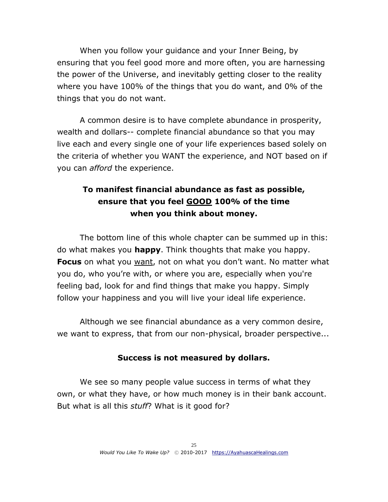When you follow your guidance and your Inner Being, by ensuring that you feel good more and more often, you are harnessing the power of the Universe, and inevitably getting closer to the reality where you have 100% of the things that you do want, and 0% of the things that you do not want.

A common desire is to have complete abundance in prosperity, wealth and dollars-- complete financial abundance so that you may live each and every single one of your life experiences based solely on the criteria of whether you WANT the experience, and NOT based on if you can *afford* the experience.

## **To manifest financial abundance as fast as possible, ensure that you feel GOOD 100% of the time when you think about money.**

The bottom line of this whole chapter can be summed up in this: do what makes you **happy**. Think thoughts that make you happy. **Focus** on what you want, not on what you don't want. No matter what you do, who you're with, or where you are, especially when you're feeling bad, look for and find things that make you happy. Simply follow your happiness and you will live your ideal life experience.

Although we see financial abundance as a very common desire, we want to express, that from our non-physical, broader perspective...

## **Success is not measured by dollars.**

We see so many people value success in terms of what they own, or what they have, or how much money is in their bank account. But what is all this *stuff*? What is it good for?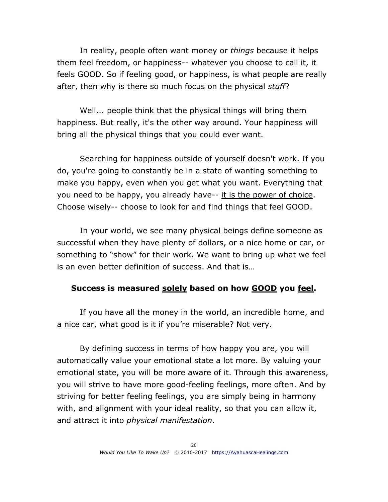In reality, people often want money or *things* because it helps them feel freedom, or happiness-- whatever you choose to call it, it feels GOOD. So if feeling good, or happiness, is what people are really after, then why is there so much focus on the physical *stuff*?

Well... people think that the physical things will bring them happiness. But really, it's the other way around. Your happiness will bring all the physical things that you could ever want.

Searching for happiness outside of yourself doesn't work. If you do, you're going to constantly be in a state of wanting something to make you happy, even when you get what you want. Everything that you need to be happy, you already have-- it is the power of choice. Choose wisely-- choose to look for and find things that feel GOOD.

In your world, we see many physical beings define someone as successful when they have plenty of dollars, or a nice home or car, or something to "show" for their work. We want to bring up what we feel is an even better definition of success. And that is…

#### **Success is measured solely based on how GOOD you feel.**

If you have all the money in the world, an incredible home, and a nice car, what good is it if you're miserable? Not very.

By defining success in terms of how happy you are, you will automatically value your emotional state a lot more. By valuing your emotional state, you will be more aware of it. Through this awareness, you will strive to have more good-feeling feelings, more often. And by striving for better feeling feelings, you are simply being in harmony with, and alignment with your ideal reality, so that you can allow it, and attract it into *physical manifestation*.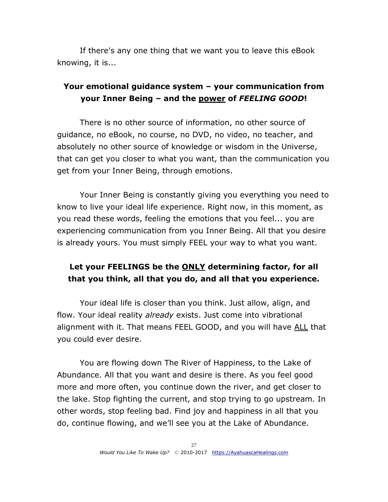If there's any one thing that we want you to leave this eBook knowing, it is...

## **Your emotional guidance system – your communication from your Inner Being – and the power of** *FEELING GOOD***!**

There is no other source of information, no other source of guidance, no eBook, no course, no DVD, no video, no teacher, and absolutely no other source of knowledge or wisdom in the Universe, that can get you closer to what you want, than the communication you get from your Inner Being, through emotions.

Your Inner Being is constantly giving you everything you need to know to live your ideal life experience. Right now, in this moment, as you read these words, feeling the emotions that you feel... you are experiencing communication from you Inner Being. All that you desire is already yours. You must simply FEEL your way to what you want.

## **Let your FEELINGS be the ONLY determining factor, for all that you think, all that you do, and all that you experience.**

Your ideal life is closer than you think. Just allow, align, and flow. Your ideal reality *already* exists. Just come into vibrational alignment with it. That means FEEL GOOD, and you will have ALL that you could ever desire.

You are flowing down The River of Happiness, to the Lake of Abundance. All that you want and desire is there. As you feel good more and more often, you continue down the river, and get closer to the lake. Stop fighting the current, and stop trying to go upstream. In other words, stop feeling bad. Find joy and happiness in all that you do, continue flowing, and we'll see you at the Lake of Abundance.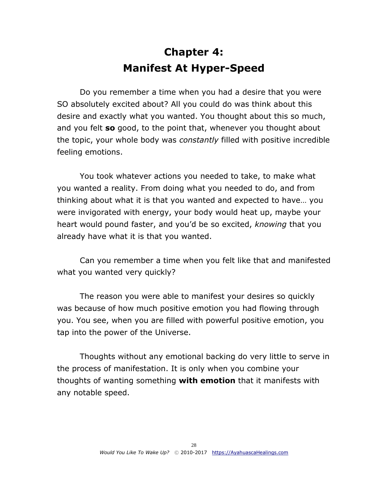# **Chapter 4: Manifest At Hyper-Speed**

<span id="page-27-0"></span>Do you remember a time when you had a desire that you were SO absolutely excited about? All you could do was think about this desire and exactly what you wanted. You thought about this so much, and you felt **so** good, to the point that, whenever you thought about the topic, your whole body was *constantly* filled with positive incredible feeling emotions.

You took whatever actions you needed to take, to make what you wanted a reality. From doing what you needed to do, and from thinking about what it is that you wanted and expected to have… you were invigorated with energy, your body would heat up, maybe your heart would pound faster, and you'd be so excited, *knowing* that you already have what it is that you wanted.

Can you remember a time when you felt like that and manifested what you wanted very quickly?

The reason you were able to manifest your desires so quickly was because of how much positive emotion you had flowing through you. You see, when you are filled with powerful positive emotion, you tap into the power of the Universe.

Thoughts without any emotional backing do very little to serve in the process of manifestation. It is only when you combine your thoughts of wanting something **with emotion** that it manifests with any notable speed.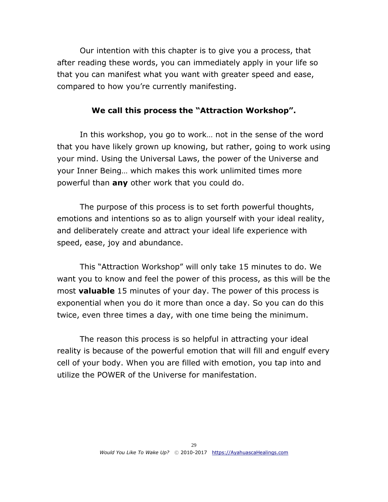Our intention with this chapter is to give you a process, that after reading these words, you can immediately apply in your life so that you can manifest what you want with greater speed and ease, compared to how you're currently manifesting.

#### **We call this process the "Attraction Workshop".**

In this workshop, you go to work… not in the sense of the word that you have likely grown up knowing, but rather, going to work using your mind. Using the Universal Laws, the power of the Universe and your Inner Being… which makes this work unlimited times more powerful than **any** other work that you could do.

The purpose of this process is to set forth powerful thoughts, emotions and intentions so as to align yourself with your ideal reality, and deliberately create and attract your ideal life experience with speed, ease, joy and abundance.

This "Attraction Workshop" will only take 15 minutes to do. We want you to know and feel the power of this process, as this will be the most **valuable** 15 minutes of your day. The power of this process is exponential when you do it more than once a day. So you can do this twice, even three times a day, with one time being the minimum.

The reason this process is so helpful in attracting your ideal reality is because of the powerful emotion that will fill and engulf every cell of your body. When you are filled with emotion, you tap into and utilize the POWER of the Universe for manifestation.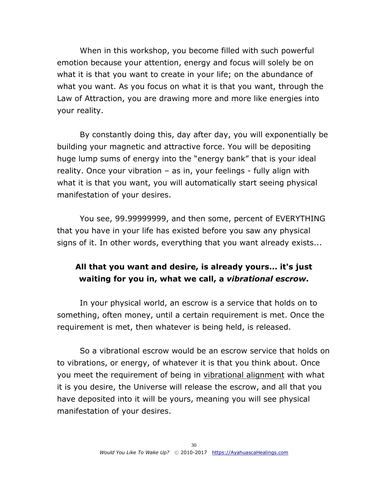When in this workshop, you become filled with such powerful emotion because your attention, energy and focus will solely be on what it is that you want to create in your life; on the abundance of what you want. As you focus on what it is that you want, through the Law of Attraction, you are drawing more and more like energies into your reality.

By constantly doing this, day after day, you will exponentially be building your magnetic and attractive force. You will be depositing huge lump sums of energy into the "energy bank" that is your ideal reality. Once your vibration – as in, your feelings - fully align with what it is that you want, you will automatically start seeing physical manifestation of your desires.

You see, 99.99999999, and then some, percent of EVERYTHING that you have in your life has existed before you saw any physical signs of it. In other words, everything that you want already exists...

## **All that you want and desire, is already yours... it's just waiting for you in, what we call, a** *vibrational escrow***.**

In your physical world, an escrow is a service that holds on to something, often money, until a certain requirement is met. Once the requirement is met, then whatever is being held, is released.

So a vibrational escrow would be an escrow service that holds on to vibrations, or energy, of whatever it is that you think about. Once you meet the requirement of being in vibrational alignment with what it is you desire, the Universe will release the escrow, and all that you have deposited into it will be yours, meaning you will see physical manifestation of your desires.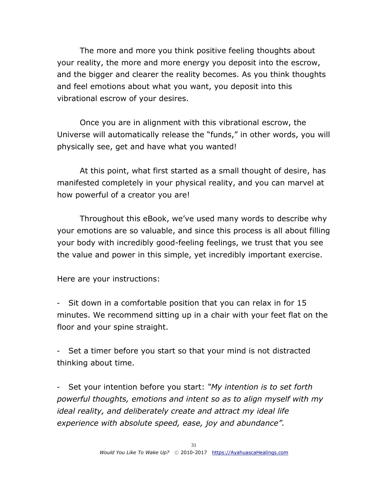The more and more you think positive feeling thoughts about your reality, the more and more energy you deposit into the escrow, and the bigger and clearer the reality becomes. As you think thoughts and feel emotions about what you want, you deposit into this vibrational escrow of your desires.

Once you are in alignment with this vibrational escrow, the Universe will automatically release the "funds," in other words, you will physically see, get and have what you wanted!

At this point, what first started as a small thought of desire, has manifested completely in your physical reality, and you can marvel at how powerful of a creator you are!

Throughout this eBook, we've used many words to describe why your emotions are so valuable, and since this process is all about filling your body with incredibly good-feeling feelings, we trust that you see the value and power in this simple, yet incredibly important exercise.

Here are your instructions:

- Sit down in a comfortable position that you can relax in for 15 minutes. We recommend sitting up in a chair with your feet flat on the floor and your spine straight.

- Set a timer before you start so that your mind is not distracted thinking about time.

- Set your intention before you start: *"My intention is to set forth powerful thoughts, emotions and intent so as to align myself with my ideal reality, and deliberately create and attract my ideal life experience with absolute speed, ease, joy and abundance".*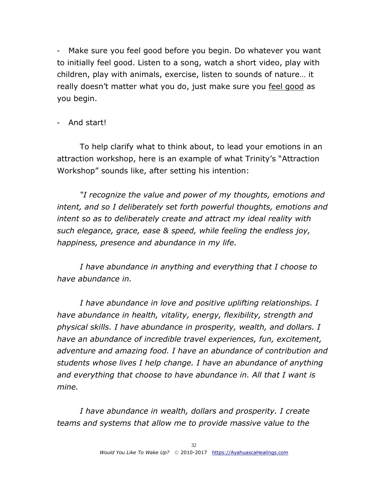- Make sure you feel good before you begin. Do whatever you want to initially feel good. Listen to a song, watch a short video, play with children, play with animals, exercise, listen to sounds of nature… it really doesn't matter what you do, just make sure you feel good as you begin.

## - And start!

To help clarify what to think about, to lead your emotions in an attraction workshop, here is an example of what Trinity's "Attraction Workshop" sounds like, after setting his intention:

*"I recognize the value and power of my thoughts, emotions and intent, and so I deliberately set forth powerful thoughts, emotions and intent so as to deliberately create and attract my ideal reality with such elegance, grace, ease & speed, while feeling the endless joy, happiness, presence and abundance in my life.*

*I have abundance in anything and everything that I choose to have abundance in.*

*I have abundance in love and positive uplifting relationships. I have abundance in health, vitality, energy, flexibility, strength and physical skills. I have abundance in prosperity, wealth, and dollars. I have an abundance of incredible travel experiences, fun, excitement, adventure and amazing food. I have an abundance of contribution and students whose lives I help change. I have an abundance of anything and everything that choose to have abundance in. All that I want is mine.*

*I have abundance in wealth, dollars and prosperity. I create teams and systems that allow me to provide massive value to the*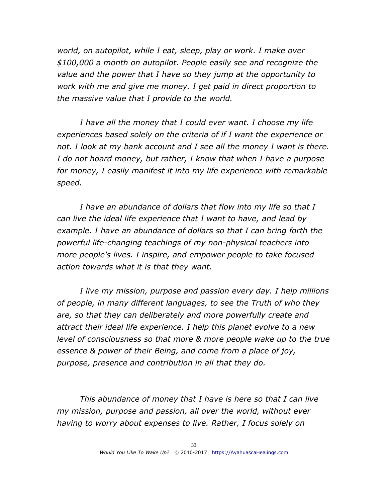*world, on autopilot, while I eat, sleep, play or work. I make over \$100,000 a month on autopilot. People easily see and recognize the value and the power that I have so they jump at the opportunity to work with me and give me money. I get paid in direct proportion to the massive value that I provide to the world.* 

*I have all the money that I could ever want. I choose my life experiences based solely on the criteria of if I want the experience or*  not. I look at my bank account and I see all the money I want is there. *I do not hoard money, but rather, I know that when I have a purpose for money, I easily manifest it into my life experience with remarkable speed.*

*I have an abundance of dollars that flow into my life so that I can live the ideal life experience that I want to have, and lead by example. I have an abundance of dollars so that I can bring forth the powerful life-changing teachings of my non-physical teachers into more people's lives. I inspire, and empower people to take focused action towards what it is that they want.* 

*I live my mission, purpose and passion every day. I help millions of people, in many different languages, to see the Truth of who they are, so that they can deliberately and more powerfully create and attract their ideal life experience. I help this planet evolve to a new level of consciousness so that more & more people wake up to the true essence & power of their Being, and come from a place of joy, purpose, presence and contribution in all that they do.*

*This abundance of money that I have is here so that I can live my mission, purpose and passion, all over the world, without ever having to worry about expenses to live. Rather, I focus solely on*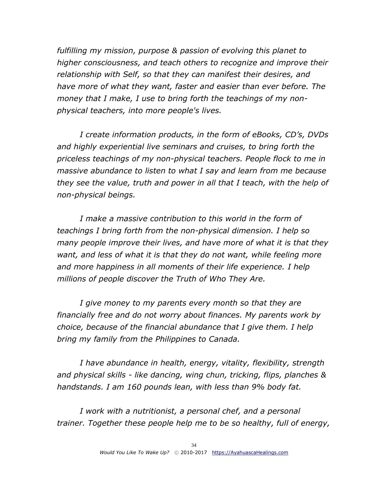*fulfilling my mission, purpose & passion of evolving this planet to higher consciousness, and teach others to recognize and improve their relationship with Self, so that they can manifest their desires, and have more of what they want, faster and easier than ever before. The money that I make, I use to bring forth the teachings of my nonphysical teachers, into more people's lives.*

*I create information products, in the form of eBooks, CD's, DVDs and highly experiential live seminars and cruises, to bring forth the priceless teachings of my non-physical teachers. People flock to me in massive abundance to listen to what I say and learn from me because they see the value, truth and power in all that I teach, with the help of non-physical beings.*

*I make a massive contribution to this world in the form of teachings I bring forth from the non-physical dimension. I help so many people improve their lives, and have more of what it is that they want, and less of what it is that they do not want, while feeling more and more happiness in all moments of their life experience. I help millions of people discover the Truth of Who They Are.*

*I give money to my parents every month so that they are financially free and do not worry about finances. My parents work by choice, because of the financial abundance that I give them. I help bring my family from the Philippines to Canada.*

*I have abundance in health, energy, vitality, flexibility, strength and physical skills - like dancing, wing chun, tricking, flips, planches & handstands. I am 160 pounds lean, with less than 9% body fat.*

*I work with a nutritionist, a personal chef, and a personal trainer. Together these people help me to be so healthy, full of energy,*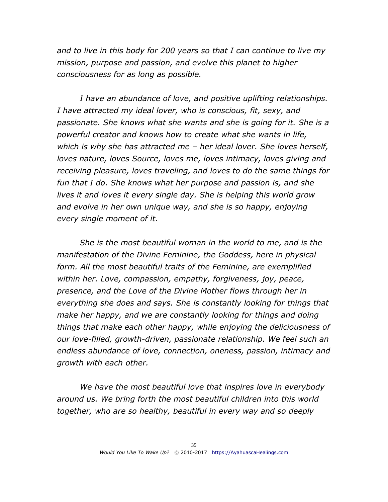*and to live in this body for 200 years so that I can continue to live my mission, purpose and passion, and evolve this planet to higher consciousness for as long as possible.*

*I have an abundance of love, and positive uplifting relationships. I have attracted my ideal lover, who is conscious, fit, sexy, and passionate. She knows what she wants and she is going for it. She is a powerful creator and knows how to create what she wants in life, which is why she has attracted me – her ideal lover. She loves herself, loves nature, loves Source, loves me, loves intimacy, loves giving and receiving pleasure, loves traveling, and loves to do the same things for fun that I do. She knows what her purpose and passion is, and she lives it and loves it every single day. She is helping this world grow and evolve in her own unique way, and she is so happy, enjoying every single moment of it.* 

*She is the most beautiful woman in the world to me, and is the manifestation of the Divine Feminine, the Goddess, here in physical form. All the most beautiful traits of the Feminine, are exemplified within her. Love, compassion, empathy, forgiveness, joy, peace, presence, and the Love of the Divine Mother flows through her in everything she does and says. She is constantly looking for things that make her happy, and we are constantly looking for things and doing things that make each other happy, while enjoying the deliciousness of our love-filled, growth-driven, passionate relationship. We feel such an endless abundance of love, connection, oneness, passion, intimacy and growth with each other.*

*We have the most beautiful love that inspires love in everybody around us. We bring forth the most beautiful children into this world together, who are so healthy, beautiful in every way and so deeply*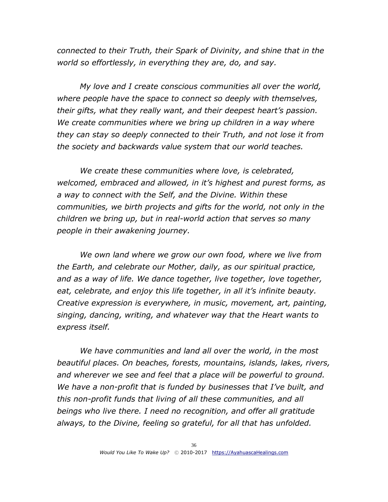*connected to their Truth, their Spark of Divinity, and shine that in the world so effortlessly, in everything they are, do, and say.*

*My love and I create conscious communities all over the world, where people have the space to connect so deeply with themselves, their gifts, what they really want, and their deepest heart's passion. We create communities where we bring up children in a way where they can stay so deeply connected to their Truth, and not lose it from the society and backwards value system that our world teaches.*

*We create these communities where love, is celebrated, welcomed, embraced and allowed, in it's highest and purest forms, as a way to connect with the Self, and the Divine. Within these communities, we birth projects and gifts for the world, not only in the children we bring up, but in real-world action that serves so many people in their awakening journey.*

*We own land where we grow our own food, where we live from the Earth, and celebrate our Mother, daily, as our spiritual practice, and as a way of life. We dance together, live together, love together,*  eat, celebrate, and enjoy this life together, in all it's *infinite beauty*. *Creative expression is everywhere, in music, movement, art, painting, singing, dancing, writing, and whatever way that the Heart wants to express itself.* 

*We have communities and land all over the world, in the most beautiful places. On beaches, forests, mountains, islands, lakes, rivers, and wherever we see and feel that a place will be powerful to ground. We have a non-profit that is funded by businesses that I've built, and this non-profit funds that living of all these communities, and all beings who live there. I need no recognition, and offer all gratitude always, to the Divine, feeling so grateful, for all that has unfolded.*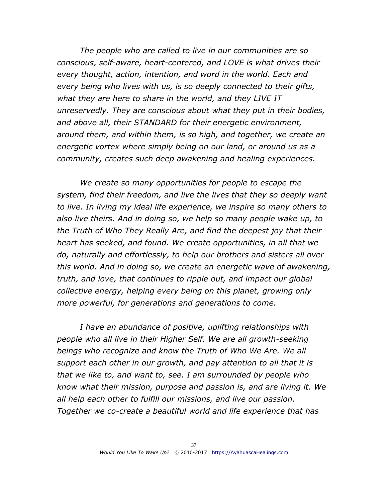*The people who are called to live in our communities are so conscious, self-aware, heart-centered, and LOVE is what drives their every thought, action, intention, and word in the world. Each and every being who lives with us, is so deeply connected to their gifts, what they are here to share in the world, and they LIVE IT unreservedly. They are conscious about what they put in their bodies, and above all, their STANDARD for their energetic environment, around them, and within them, is so high, and together, we create an energetic vortex where simply being on our land, or around us as a community, creates such deep awakening and healing experiences.*

*We create so many opportunities for people to escape the system, find their freedom, and live the lives that they so deeply want to live. In living my ideal life experience, we inspire so many others to also live theirs. And in doing so, we help so many people wake up, to the Truth of Who They Really Are, and find the deepest joy that their heart has seeked, and found. We create opportunities, in all that we do, naturally and effortlessly, to help our brothers and sisters all over this world. And in doing so, we create an energetic wave of awakening, truth, and love, that continues to ripple out, and impact our global collective energy, helping every being on this planet, growing only more powerful, for generations and generations to come.*

*I have an abundance of positive, uplifting relationships with people who all live in their Higher Self. We are all growth-seeking beings who recognize and know the Truth of Who We Are. We all support each other in our growth, and pay attention to all that it is that we like to, and want to, see. I am surrounded by people who know what their mission, purpose and passion is, and are living it. We all help each other to fulfill our missions, and live our passion. Together we co-create a beautiful world and life experience that has*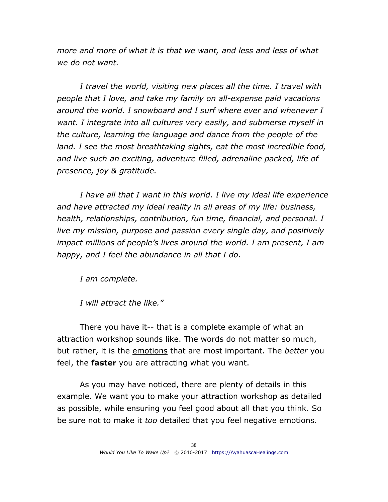*more and more of what it is that we want, and less and less of what we do not want.*

*I travel the world, visiting new places all the time. I travel with people that I love, and take my family on all-expense paid vacations around the world. I snowboard and I surf where ever and whenever I want. I integrate into all cultures very easily, and submerse myself in the culture, learning the language and dance from the people of the land. I see the most breathtaking sights, eat the most incredible food, and live such an exciting, adventure filled, adrenaline packed, life of presence, joy & gratitude.* 

*I have all that I want in this world. I live my ideal life experience and have attracted my ideal reality in all areas of my life: business, health, relationships, contribution, fun time, financial, and personal. I live my mission, purpose and passion every single day, and positively impact millions of people's lives around the world. I am present, I am happy, and I feel the abundance in all that I do.*

*I am complete.* 

*I will attract the like."*

There you have it-- that is a complete example of what an attraction workshop sounds like. The words do not matter so much, but rather, it is the emotions that are most important. The *better* you feel, the **faster** you are attracting what you want.

As you may have noticed, there are plenty of details in this example. We want you to make your attraction workshop as detailed as possible, while ensuring you feel good about all that you think. So be sure not to make it *too* detailed that you feel negative emotions.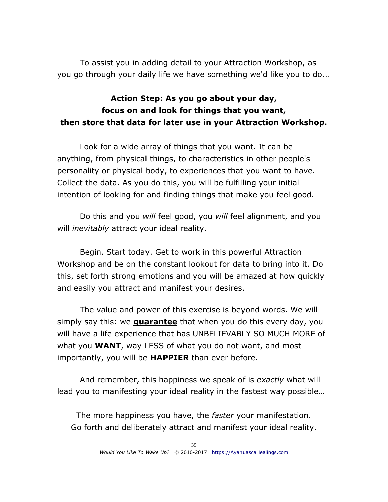To assist you in adding detail to your Attraction Workshop, as you go through your daily life we have something we'd like you to do...

## **Action Step: As you go about your day, focus on and look for things that you want, then store that data for later use in your Attraction Workshop.**

Look for a wide array of things that you want. It can be anything, from physical things, to characteristics in other people's personality or physical body, to experiences that you want to have. Collect the data. As you do this, you will be fulfilling your initial intention of looking for and finding things that make you feel good.

Do this and you *will* feel good, you *will* feel alignment, and you will *inevitably* attract your ideal reality.

Begin. Start today. Get to work in this powerful Attraction Workshop and be on the constant lookout for data to bring into it. Do this, set forth strong emotions and you will be amazed at how quickly and easily you attract and manifest your desires.

The value and power of this exercise is beyond words. We will simply say this: we **guarantee** that when you do this every day, you will have a life experience that has UNBELIEVABLY SO MUCH MORE of what you **WANT**, way LESS of what you do not want, and most importantly, you will be **HAPPIER** than ever before.

And remember, this happiness we speak of is *exactly* what will lead you to manifesting your ideal reality in the fastest way possible…

The more happiness you have, the *faster* your manifestation. Go forth and deliberately attract and manifest your ideal reality.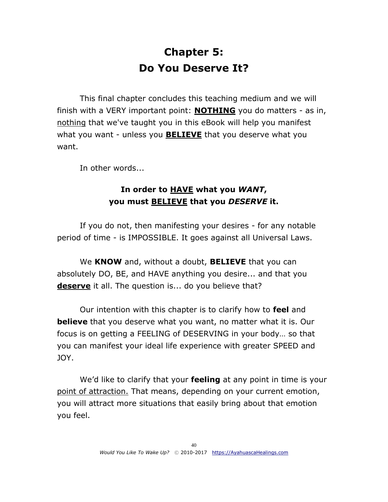# **Chapter 5: Do You Deserve It?**

<span id="page-39-0"></span>This final chapter concludes this teaching medium and we will finish with a VERY important point: **NOTHING** you do matters - as in, nothing that we've taught you in this eBook will help you manifest what you want - unless you **BELIEVE** that you deserve what you want.

In other words...

## **In order to HAVE what you** *WANT***, you must BELIEVE that you** *DESERVE* **it.**

If you do not, then manifesting your desires - for any notable period of time - is IMPOSSIBLE. It goes against all Universal Laws.

We **KNOW** and, without a doubt, **BELIEVE** that you can absolutely DO, BE, and HAVE anything you desire... and that you **deserve** it all. The question is... do you believe that?

Our intention with this chapter is to clarify how to **feel** and **believe** that you deserve what you want, no matter what it is. Our focus is on getting a FEELING of DESERVING in your body… so that you can manifest your ideal life experience with greater SPEED and JOY.

We'd like to clarify that your **feeling** at any point in time is your point of attraction. That means, depending on your current emotion, you will attract more situations that easily bring about that emotion you feel.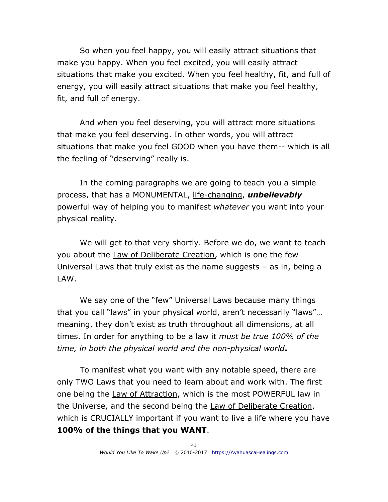So when you feel happy, you will easily attract situations that make you happy. When you feel excited, you will easily attract situations that make you excited. When you feel healthy, fit, and full of energy, you will easily attract situations that make you feel healthy, fit, and full of energy.

And when you feel deserving, you will attract more situations that make you feel deserving. In other words, you will attract situations that make you feel GOOD when you have them-- which is all the feeling of "deserving" really is.

In the coming paragraphs we are going to teach you a simple process, that has a MONUMENTAL, life-changing, *unbelievably* powerful way of helping you to manifest *whatever* you want into your physical reality.

We will get to that very shortly. Before we do, we want to teach you about the Law of Deliberate Creation, which is one the few Universal Laws that truly exist as the name suggests – as in, being a LAW.

We say one of the "few" Universal Laws because many things that you call "laws" in your physical world, aren't necessarily "laws"… meaning, they don't exist as truth throughout all dimensions, at all times. In order for anything to be a law it *must be true 100% of the time, in both the physical world and the non-physical world***.**

To manifest what you want with any notable speed, there are only TWO Laws that you need to learn about and work with. The first one being the Law of Attraction, which is the most POWERFUL law in the Universe, and the second being the Law of Deliberate Creation, which is CRUCIALLY important if you want to live a life where you have **100% of the things that you WANT**.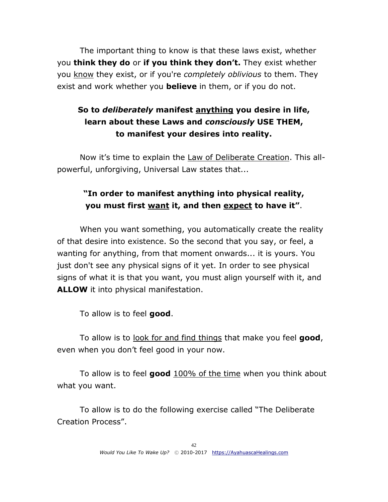The important thing to know is that these laws exist, whether you **think they do** or **if you think they don't.** They exist whether you know they exist, or if you're *completely oblivious* to them. They exist and work whether you **believe** in them, or if you do not.

## **So to** *deliberately* **manifest anything you desire in life, learn about these Laws and** *consciously* **USE THEM, to manifest your desires into reality.**

Now it's time to explain the Law of Deliberate Creation. This allpowerful, unforgiving, Universal Law states that...

## **"In order to manifest anything into physical reality, you must first want it, and then expect to have it"**.

When you want something, you automatically create the reality of that desire into existence. So the second that you say, or feel, a wanting for anything, from that moment onwards... it is yours. You just don't see any physical signs of it yet. In order to see physical signs of what it is that you want, you must align yourself with it, and **ALLOW** it into physical manifestation.

To allow is to feel **good**.

To allow is to look for and find things that make you feel **good**, even when you don't feel good in your now.

To allow is to feel **good** 100% of the time when you think about what you want.

To allow is to do the following exercise called "The Deliberate Creation Process".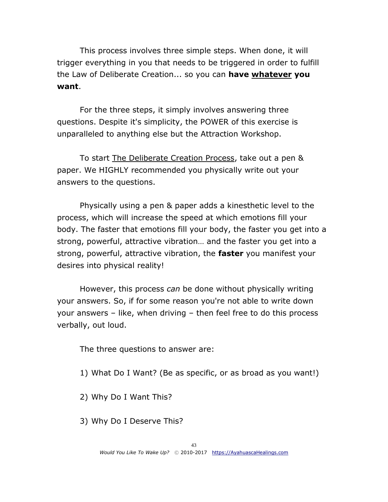This process involves three simple steps. When done, it will trigger everything in you that needs to be triggered in order to fulfill the Law of Deliberate Creation... so you can **have whatever you want**.

For the three steps, it simply involves answering three questions. Despite it's simplicity, the POWER of this exercise is unparalleled to anything else but the Attraction Workshop.

To start The Deliberate Creation Process, take out a pen & paper. We HIGHLY recommended you physically write out your answers to the questions.

Physically using a pen & paper adds a kinesthetic level to the process, which will increase the speed at which emotions fill your body. The faster that emotions fill your body, the faster you get into a strong, powerful, attractive vibration… and the faster you get into a strong, powerful, attractive vibration, the **faster** you manifest your desires into physical reality!

However, this process *can* be done without physically writing your answers. So, if for some reason you're not able to write down your answers – like, when driving – then feel free to do this process verbally, out loud.

The three questions to answer are:

- 1) What Do I Want? (Be as specific, or as broad as you want!)
- 2) Why Do I Want This?
- 3) Why Do I Deserve This?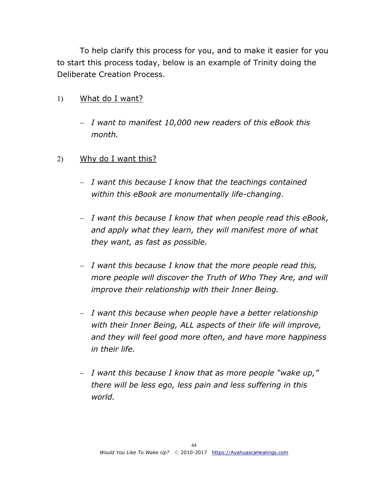To help clarify this process for you, and to make it easier for you to start this process today, below is an example of Trinity doing the Deliberate Creation Process.

- What do I want?
	- *I want to manifest 10,000 new readers of this eBook this month.*
- 2) Why do I want this?
	- *I want this because I know that the teachings contained within this eBook are monumentally life-changing.*
	- *I want this because I know that when people read this eBook, and apply what they learn, they will manifest more of what they want, as fast as possible.*
	- *I want this because I know that the more people read this, more people will discover the Truth of Who They Are, and will improve their relationship with their Inner Being.*
	- *I want this because when people have a better relationship with their Inner Being, ALL aspects of their life will improve, and they will feel good more often, and have more happiness in their life.*
	- *I want this because I know that as more people "wake up," there will be less ego, less pain and less suffering in this world.*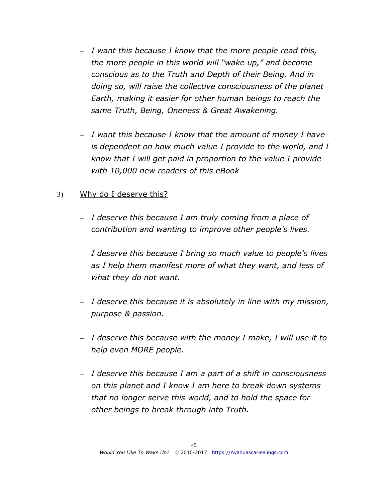- *I want this because I know that the more people read this, the more people in this world will "wake up," and become conscious as to the Truth and Depth of their Being. And in doing so, will raise the collective consciousness of the planet Earth, making it easier for other human beings to reach the same Truth, Being, Oneness & Great Awakening.*
- *I want this because I know that the amount of money I have is dependent on how much value I provide to the world, and I know that I will get paid in proportion to the value I provide with 10,000 new readers of this eBook*

## Why do I deserve this?

- *I deserve this because I am truly coming from a place of contribution and wanting to improve other people's lives.*
- *I deserve this because I bring so much value to people's lives as I help them manifest more of what they want, and less of what they do not want.*
- *I deserve this because it is absolutely in line with my mission, purpose & passion.*
- *I deserve this because with the money I make, I will use it to help even MORE people.*
- *I deserve this because I am a part of a shift in consciousness on this planet and I know I am here to break down systems that no longer serve this world, and to hold the space for other beings to break through into Truth.*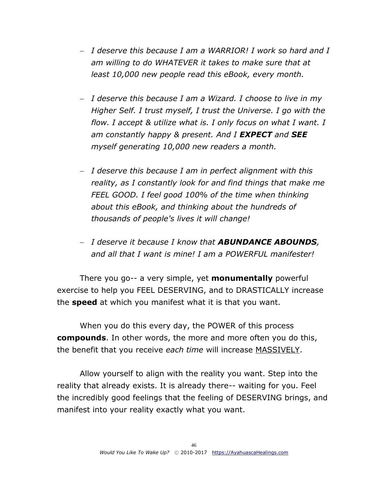- *I deserve this because I am a WARRIOR! I work so hard and I am willing to do WHATEVER it takes to make sure that at least 10,000 new people read this eBook, every month.*
- *I deserve this because I am a Wizard. I choose to live in my Higher Self. I trust myself, I trust the Universe. I go with the flow. I accept & utilize what is. I only focus on what I want. I am constantly happy & present. And I EXPECT and SEE myself generating 10,000 new readers a month.*
- *I deserve this because I am in perfect alignment with this reality, as I constantly look for and find things that make me FEEL GOOD. I feel good 100% of the time when thinking about this eBook, and thinking about the hundreds of thousands of people's lives it will change!*
- *I deserve it because I know that ABUNDANCE ABOUNDS, and all that I want is mine! I am a POWERFUL manifester!*

There you go-- a very simple, yet **monumentally** powerful exercise to help you FEEL DESERVING, and to DRASTICALLY increase the **speed** at which you manifest what it is that you want.

When you do this every day, the POWER of this process **compounds**. In other words, the more and more often you do this, the benefit that you receive *each time* will increase MASSIVELY.

Allow yourself to align with the reality you want. Step into the reality that already exists. It is already there-- waiting for you. Feel the incredibly good feelings that the feeling of DESERVING brings, and manifest into your reality exactly what you want.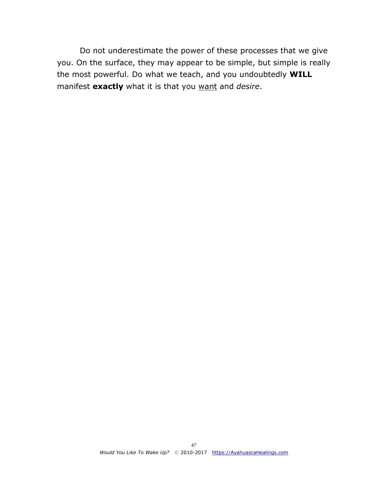Do not underestimate the power of these processes that we give you. On the surface, they may appear to be simple, but simple is really the most powerful. Do what we teach, and you undoubtedly **WILL** manifest **exactly** what it is that you want and *desire*.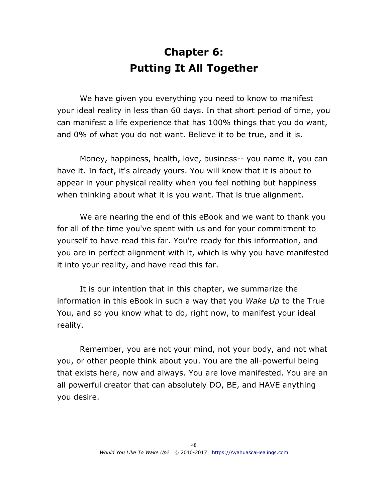# **Chapter 6: Putting It All Together**

<span id="page-47-0"></span>We have given you everything you need to know to manifest your ideal reality in less than 60 days. In that short period of time, you can manifest a life experience that has 100% things that you do want, and 0% of what you do not want. Believe it to be true, and it is.

Money, happiness, health, love, business-- you name it, you can have it. In fact, it's already yours. You will know that it is about to appear in your physical reality when you feel nothing but happiness when thinking about what it is you want. That is true alignment.

We are nearing the end of this eBook and we want to thank you for all of the time you've spent with us and for your commitment to yourself to have read this far. You're ready for this information, and you are in perfect alignment with it, which is why you have manifested it into your reality, and have read this far.

It is our intention that in this chapter, we summarize the information in this eBook in such a way that you *Wake Up* to the True You, and so you know what to do, right now, to manifest your ideal reality.

Remember, you are not your mind, not your body, and not what you, or other people think about you. You are the all-powerful being that exists here, now and always. You are love manifested. You are an all powerful creator that can absolutely DO, BE, and HAVE anything you desire.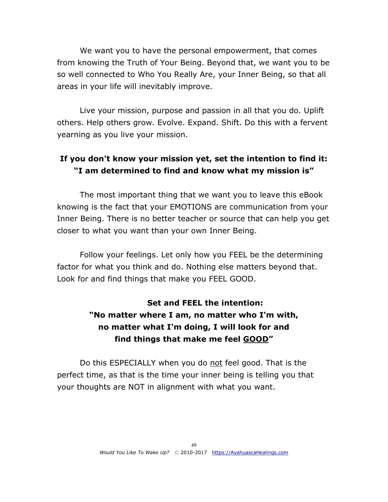We want you to have the personal empowerment, that comes from knowing the Truth of Your Being. Beyond that, we want you to be so well connected to Who You Really Are, your Inner Being, so that all areas in your life will inevitably improve.

Live your mission, purpose and passion in all that you do. Uplift others. Help others grow. Evolve. Expand. Shift. Do this with a fervent yearning as you live your mission.

## **If you don't know your mission yet, set the intention to find it: "I am determined to find and know what my mission is"**

The most important thing that we want you to leave this eBook knowing is the fact that your EMOTIONS are communication from your Inner Being. There is no better teacher or source that can help you get closer to what you want than your own Inner Being.

Follow your feelings. Let only how you FEEL be the determining factor for what you think and do. Nothing else matters beyond that. Look for and find things that make you FEEL GOOD.

## **Set and FEEL the intention: "No matter where I am, no matter who I'm with, no matter what I'm doing, I will look for and find things that make me feel GOOD"**

Do this ESPECIALLY when you do not feel good. That is the perfect time, as that is the time your inner being is telling you that your thoughts are NOT in alignment with what you want.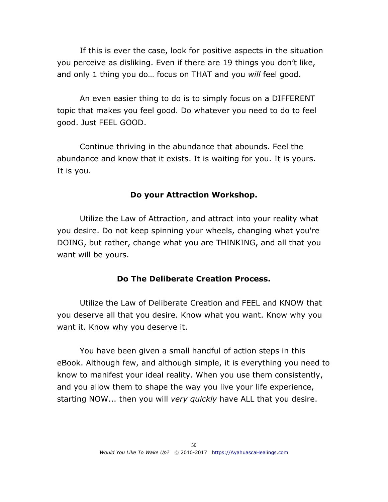If this is ever the case, look for positive aspects in the situation you perceive as disliking. Even if there are 19 things you don't like, and only 1 thing you do… focus on THAT and you *will* feel good.

An even easier thing to do is to simply focus on a DIFFERENT topic that makes you feel good. Do whatever you need to do to feel good. Just FEEL GOOD.

Continue thriving in the abundance that abounds. Feel the abundance and know that it exists. It is waiting for you. It is yours. It is you.

#### **Do your Attraction Workshop.**

Utilize the Law of Attraction, and attract into your reality what you desire. Do not keep spinning your wheels, changing what you're DOING, but rather, change what you are THINKING, and all that you want will be yours.

#### **Do The Deliberate Creation Process.**

Utilize the Law of Deliberate Creation and FEEL and KNOW that you deserve all that you desire. Know what you want. Know why you want it. Know why you deserve it.

You have been given a small handful of action steps in this eBook. Although few, and although simple, it is everything you need to know to manifest your ideal reality. When you use them consistently, and you allow them to shape the way you live your life experience, starting NOW... then you will *very quickly* have ALL that you desire.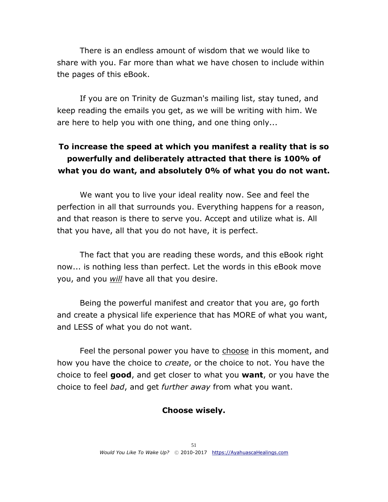There is an endless amount of wisdom that we would like to share with you. Far more than what we have chosen to include within the pages of this eBook.

If you are on Trinity de Guzman's mailing list, stay tuned, and keep reading the emails you get, as we will be writing with him. We are here to help you with one thing, and one thing only...

## **To increase the speed at which you manifest a reality that is so powerfully and deliberately attracted that there is 100% of what you do want, and absolutely 0% of what you do not want.**

We want you to live your ideal reality now. See and feel the perfection in all that surrounds you. Everything happens for a reason, and that reason is there to serve you. Accept and utilize what is. All that you have, all that you do not have, it is perfect.

The fact that you are reading these words, and this eBook right now... is nothing less than perfect. Let the words in this eBook move you, and you *will* have all that you desire.

Being the powerful manifest and creator that you are, go forth and create a physical life experience that has MORE of what you want, and LESS of what you do not want.

Feel the personal power you have to choose in this moment, and how you have the choice to *create*, or the choice to not. You have the choice to feel **good**, and get closer to what you **want**, or you have the choice to feel *bad*, and get *further away* from what you want.

#### **Choose wisely.**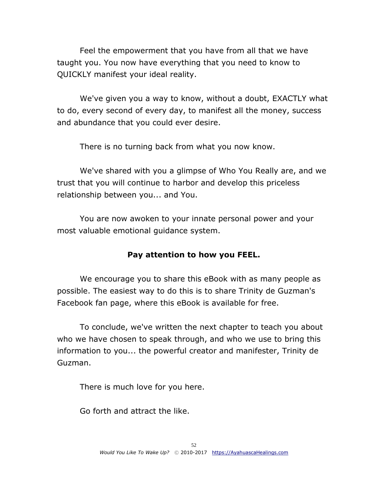Feel the empowerment that you have from all that we have taught you. You now have everything that you need to know to QUICKLY manifest your ideal reality.

We've given you a way to know, without a doubt, EXACTLY what to do, every second of every day, to manifest all the money, success and abundance that you could ever desire.

There is no turning back from what you now know.

We've shared with you a glimpse of Who You Really are, and we trust that you will continue to harbor and develop this priceless relationship between you... and You.

You are now awoken to your innate personal power and your most valuable emotional guidance system.

## **Pay attention to how you FEEL.**

We encourage you to share this eBook with as many people as possible. The easiest way to do this is to share Trinity de Guzman's Facebook fan page, where this eBook is available for free.

To conclude, we've written the next chapter to teach you about who we have chosen to speak through, and who we use to bring this information to you... the powerful creator and manifester, Trinity de Guzman.

There is much love for you here.

Go forth and attract the like.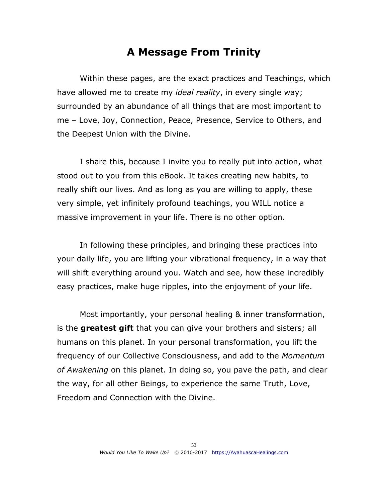## **A Message From Trinity**

<span id="page-52-0"></span>Within these pages, are the exact practices and Teachings, which have allowed me to create my *ideal reality*, in every single way; surrounded by an abundance of all things that are most important to me – Love, Joy, Connection, Peace, Presence, Service to Others, and the Deepest Union with the Divine.

I share this, because I invite you to really put into action, what stood out to you from this eBook. It takes creating new habits, to really shift our lives. And as long as you are willing to apply, these very simple, yet infinitely profound teachings, you WILL notice a massive improvement in your life. There is no other option.

In following these principles, and bringing these practices into your daily life, you are lifting your vibrational frequency, in a way that will shift everything around you. Watch and see, how these incredibly easy practices, make huge ripples, into the enjoyment of your life.

Most importantly, your personal healing & inner transformation, is the **greatest gift** that you can give your brothers and sisters; all humans on this planet. In your personal transformation, you lift the frequency of our Collective Consciousness, and add to the *Momentum of Awakening* on this planet. In doing so, you pave the path, and clear the way, for all other Beings, to experience the same Truth, Love, Freedom and Connection with the Divine.